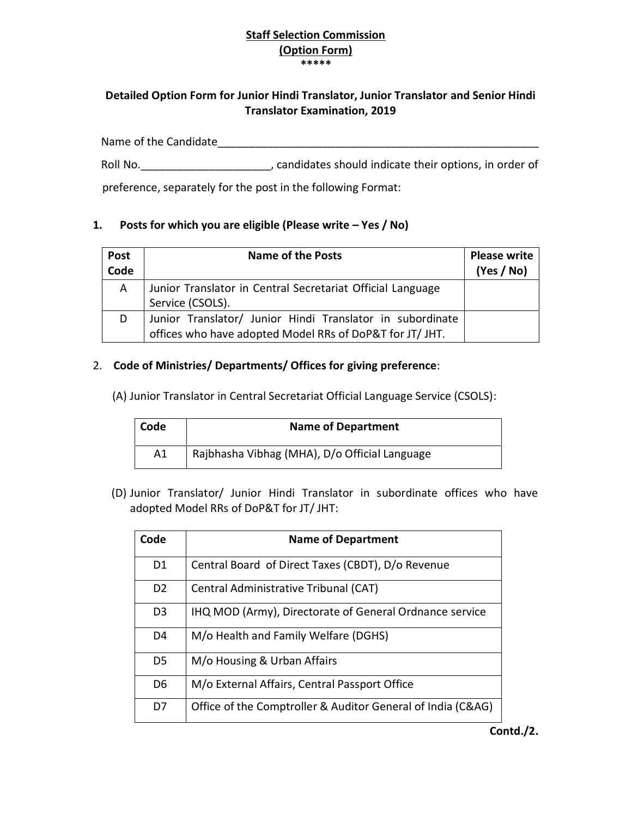## **Staff Selection Commission (Option Form) \*\*\*\*\***

## **Detailed Option Form for Junior Hindi Translator, Junior Translator and Senior Hindi Translator Examination, 2019**

Name of the Candidate\_\_\_\_\_\_\_\_\_\_\_\_\_\_\_\_\_\_\_\_\_\_\_\_\_\_\_\_\_\_\_\_\_\_\_\_\_\_\_\_\_\_\_\_\_\_\_\_\_\_\_\_

Roll No.  $\blacksquare$ , candidates should indicate their options, in order of

preference, separately for the post in the following Format:

## **1. Posts for which you are eligible (Please write – Yes / No)**

| Post<br>Code | <b>Name of the Posts</b>                                                                                              | <b>Please write</b><br>(Yes / No) |
|--------------|-----------------------------------------------------------------------------------------------------------------------|-----------------------------------|
| A            | Junior Translator in Central Secretariat Official Language<br>Service (CSOLS).                                        |                                   |
| D            | Junior Translator/ Junior Hindi Translator in subordinate<br>offices who have adopted Model RRs of DoP&T for JT/ JHT. |                                   |

## 2. **Code of Ministries/ Departments/ Offices for giving preference**:

(A) Junior Translator in Central Secretariat Official Language Service (CSOLS):

| Code | <b>Name of Department</b>                     |
|------|-----------------------------------------------|
| A1   | Rajbhasha Vibhag (MHA), D/o Official Language |

(D) Junior Translator/ Junior Hindi Translator in subordinate offices who have adopted Model RRs of DoP&T for JT/ JHT:

| Code           | <b>Name of Department</b>                                   |
|----------------|-------------------------------------------------------------|
| D <sub>1</sub> | Central Board of Direct Taxes (CBDT), D/o Revenue           |
| D <sub>2</sub> | Central Administrative Tribunal (CAT)                       |
| D <sub>3</sub> | IHQ MOD (Army), Directorate of General Ordnance service     |
| D4             | M/o Health and Family Welfare (DGHS)                        |
| D5             | M/o Housing & Urban Affairs                                 |
| D <sub>6</sub> | M/o External Affairs, Central Passport Office               |
| D7             | Office of the Comptroller & Auditor General of India (C&AG) |

**Contd./2.**